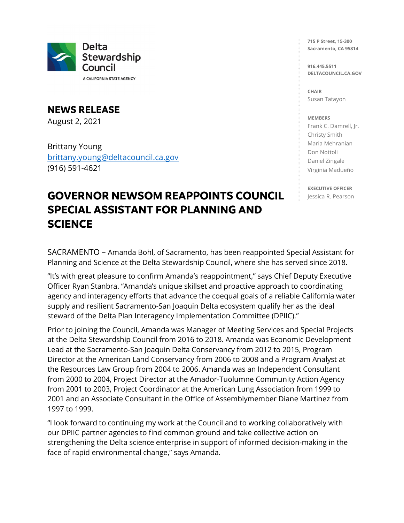

A CALIFORNIA STATE AGENCY

**NEWS RELEASE** August 2, 2021

Brittany Young [brittany.young@deltacouncil.ca.gov](mailto:brittany.young@deltacouncil.ca.gov)  (916) 591-4621

## **GOVERNOR NEWSOM REAPPOINTS COUNCIL SPECIAL ASSISTANT FOR PLANNING AND SCIENCE**

**715 P Street, 15-300 Sacramento, CA 95814**

**916.445.5511 DELTACOUNCIL.CA.GOV**

**CHAIR** Susan Tatayon

## **MEMBERS**

Frank C. Damrell, Jr. Christy Smith Maria Mehranian Don Nottoli Daniel Zingale Virginia Madueño

**EXECUTIVE OFFICER** Jessica R. Pearson

SACRAMENTO – Amanda Bohl, of Sacramento, has been reappointed Special Assistant for Planning and Science at the Delta Stewardship Council, where she has served since 2018.

"It's with great pleasure to confirm Amanda's reappointment," says Chief Deputy Executive Officer Ryan Stanbra. "Amanda's unique skillset and proactive approach to coordinating agency and interagency efforts that advance the coequal goals of a reliable California water supply and resilient Sacramento-San Joaquin Delta ecosystem qualify her as the ideal steward of the Delta Plan Interagency Implementation Committee (DPIIC)."

Prior to joining the Council, Amanda was Manager of Meeting Services and Special Projects at the Delta Stewardship Council from 2016 to 2018. Amanda was Economic Development Lead at the Sacramento-San Joaquin Delta Conservancy from 2012 to 2015, Program Director at the American Land Conservancy from 2006 to 2008 and a Program Analyst at the Resources Law Group from 2004 to 2006. Amanda was an Independent Consultant from 2000 to 2004, Project Director at the Amador-Tuolumne Community Action Agency from 2001 to 2003, Project Coordinator at the American Lung Association from 1999 to 2001 and an Associate Consultant in the Office of Assemblymember Diane Martinez from 1997 to 1999.

"I look forward to continuing my work at the Council and to working collaboratively with our DPIIC partner agencies to find common ground and take collective action on strengthening the Delta science enterprise in support of informed decision-making in the face of rapid environmental change," says Amanda.